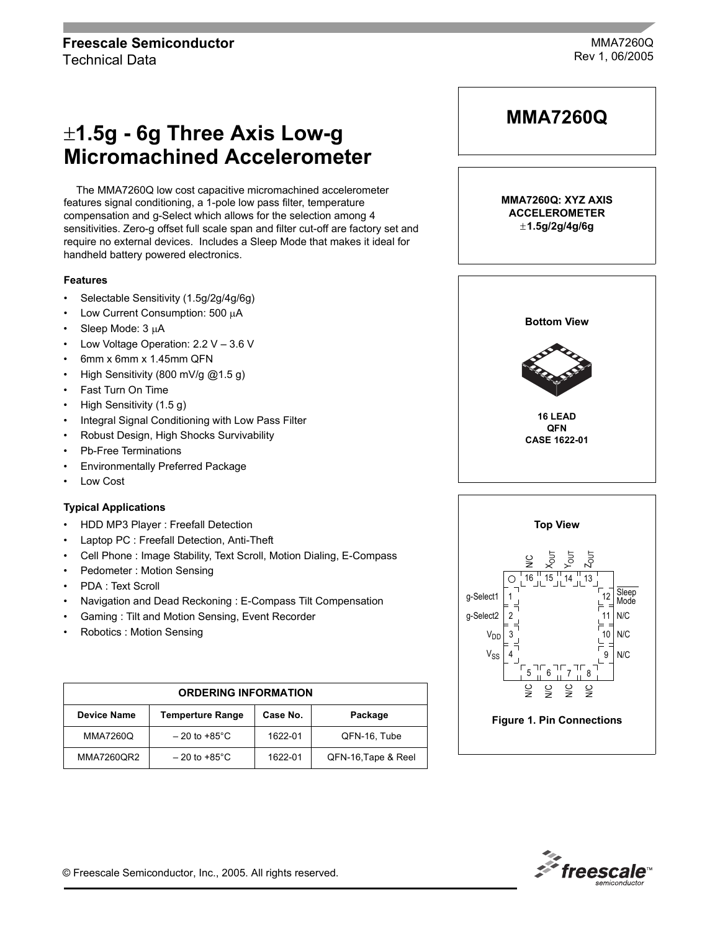# ±**1.5g - 6g Three Axis Low-g Micromachined Accelerometer**

The MMA7260Q low cost capacitive micromachined accelerometer features signal conditioning, a 1-pole low pass filter, temperature compensation and g-Select which allows for the selection among 4 sensitivities. Zero-g offset full scale span and filter cut-off are factory set and require no external devices. Includes a Sleep Mode that makes it ideal for handheld battery powered electronics.

#### **Features**

- Selectable Sensitivity (1.5g/2g/4g/6g)
- Low Current Consumption: 500 µA
- Sleep Mode: 3 µA
- Low Voltage Operation:  $2.2$  V  $-$  3.6 V
- 6mm x 6mm x 1.45mm QFN
- High Sensitivity (800 mV/g @1.5 g)
- Fast Turn On Time
- High Sensitivity (1.5 g)
- Integral Signal Conditioning with Low Pass Filter
- Robust Design, High Shocks Survivability
- Pb-Free Terminations
- Environmentally Preferred Package
- Low Cost

# **Typical Applications**

- HDD MP3 Player : Freefall Detection
- Laptop PC : Freefall Detection, Anti-Theft
- Cell Phone : Image Stability, Text Scroll, Motion Dialing, E-Compass
- Pedometer : Motion Sensing
- PDA : Text Scroll
- Navigation and Dead Reckoning : E-Compass Tilt Compensation
- Gaming : Tilt and Motion Sensing, Event Recorder
- Robotics : Motion Sensing

| <b>ORDERING INFORMATION</b> |                           |          |                     |
|-----------------------------|---------------------------|----------|---------------------|
| <b>Device Name</b>          | <b>Temperture Range</b>   | Case No. | Package             |
| <b>MMA7260Q</b>             | $-20$ to +85 $^{\circ}$ C | 1622-01  | QFN-16, Tube        |
| MMA7260QR2                  | $-20$ to +85 $^{\circ}$ C | 1622-01  | QFN-16, Tape & Reel |







© Freescale Semiconductor, Inc., 2005. All rights reserved.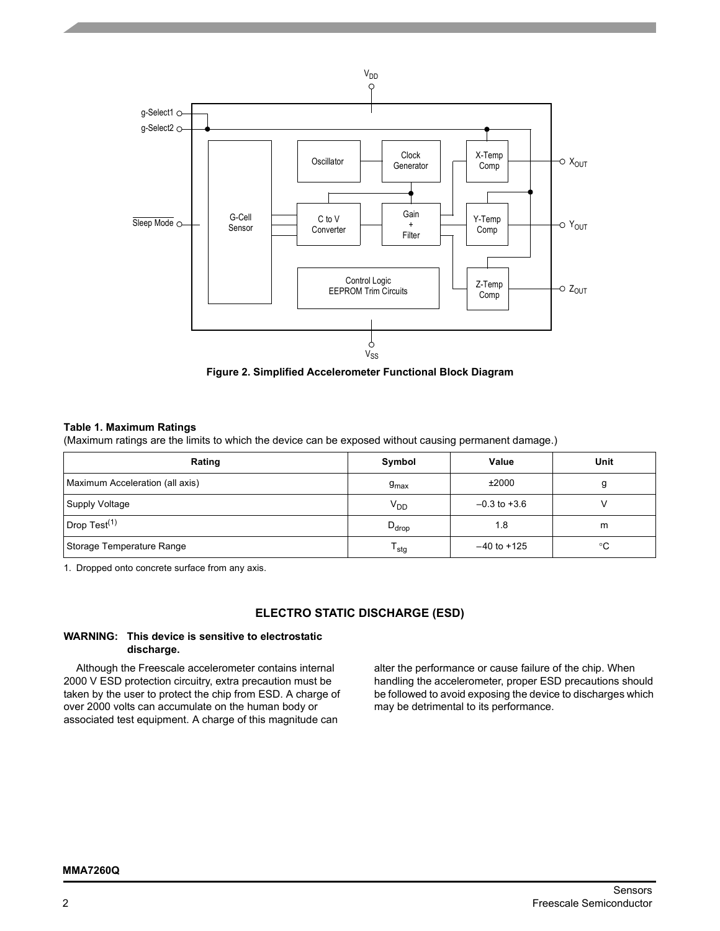

**Figure 2. Simplified Accelerometer Functional Block Diagram**

#### **Table 1. Maximum Ratings**

(Maximum ratings are the limits to which the device can be exposed without causing permanent damage.)

| Rating                          | Symbol           | Value            | Unit |
|---------------------------------|------------------|------------------|------|
| Maximum Acceleration (all axis) | $g_{\text{max}}$ | ±2000            | g    |
| Supply Voltage                  | $V_{DD}$         | $-0.3$ to $+3.6$ |      |
| Drop Test $(1)$                 | $D_{drop}$       | 1.8              | m    |
| Storage Temperature Range       | <sup>I</sup> stg | $-40$ to $+125$  | °C   |

1. Dropped onto concrete surface from any axis.

# **ELECTRO STATIC DISCHARGE (ESD)**

#### **WARNING: This device is sensitive to electrostatic discharge.**

Although the Freescale accelerometer contains internal 2000 V ESD protection circuitry, extra precaution must be taken by the user to protect the chip from ESD. A charge of over 2000 volts can accumulate on the human body or associated test equipment. A charge of this magnitude can

alter the performance or cause failure of the chip. When handling the accelerometer, proper ESD precautions should be followed to avoid exposing the device to discharges which may be detrimental to its performance.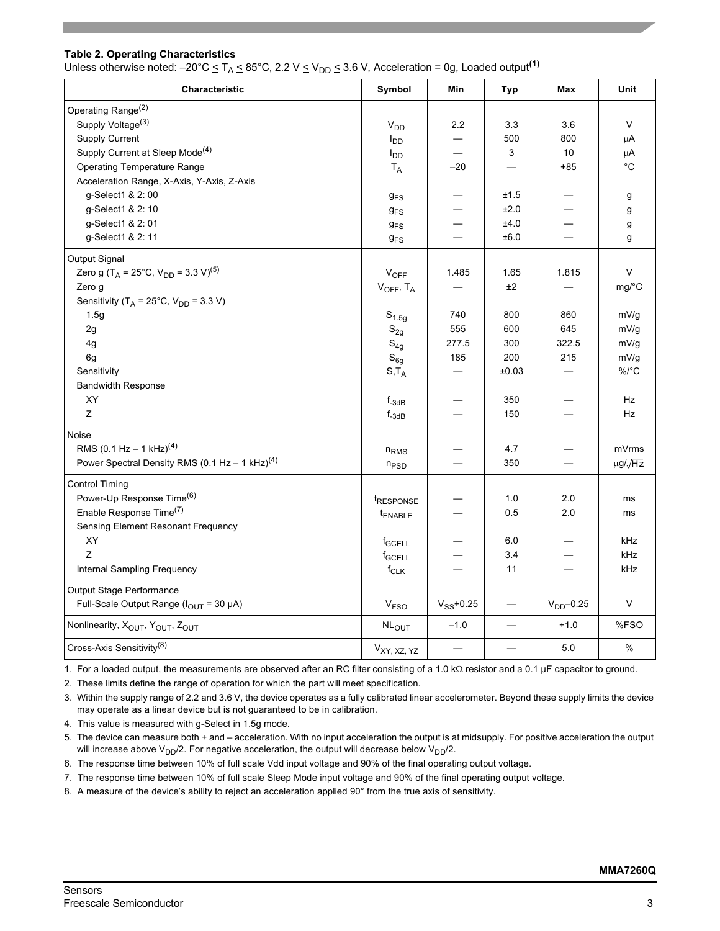### **Table 2. Operating Characteristics**

Unless otherwise noted:  $-20^{\circ}C \leq T_A \leq 85^{\circ}C$ , 2.2 V  $\leq$  V<sub>DD</sub>  $\leq$  3.6 V, Acceleration = 0g, Loaded output<sup>(1)</sup>

| Characteristic                                                         | Symbol                | Min            | <b>Typ</b>               | Max                      | Unit                 |
|------------------------------------------------------------------------|-----------------------|----------------|--------------------------|--------------------------|----------------------|
| Operating Range <sup>(2)</sup>                                         |                       |                |                          |                          |                      |
| Supply Voltage <sup>(3)</sup>                                          | $V_{DD}$              | 2.2            | 3.3                      | 3.6                      | V                    |
| Supply Current                                                         | $I_{DD}$              |                | 500                      | 800                      | μA                   |
| Supply Current at Sleep Mode <sup>(4)</sup>                            | aa <sup>l</sup>       |                | 3                        | 10                       | $\mu$ A              |
| <b>Operating Temperature Range</b>                                     | $T_A$                 | $-20$          |                          | $+85$                    | °C                   |
| Acceleration Range, X-Axis, Y-Axis, Z-Axis                             |                       |                |                          |                          |                      |
| g-Select1 & 2:00                                                       | 9 <sub>FS</sub>       |                | ±1.5                     |                          | g                    |
| g-Select1 & 2: 10                                                      | $g_{FS}$              |                | ±2.0                     |                          | g                    |
| g-Select1 & 2:01                                                       | $g_{FS}$              |                | ±4.0                     |                          | g                    |
| g-Select1 & 2: 11                                                      | 9 <sub>FS</sub>       |                | ±6.0                     |                          | g                    |
| Output Signal                                                          |                       |                |                          |                          |                      |
| Zero g (T <sub>A</sub> = 25°C, V <sub>DD</sub> = 3.3 V) <sup>(5)</sup> | $V_{OFF}$             | 1.485          | 1.65                     | 1.815                    | V                    |
| Zero g                                                                 | $V_{OFF}$ , $T_A$     |                | ±2                       |                          | mg/°C                |
| Sensitivity ( $T_A$ = 25°C, $V_{DD}$ = 3.3 V)                          |                       |                |                          |                          |                      |
| 1.5g                                                                   | $S_{1.5g}$            | 740            | 800                      | 860                      | mV/g                 |
| 2g                                                                     | $S_{2g}$              | 555            | 600                      | 645                      | mV/g                 |
| 4g                                                                     | $S_{4g}$              | 277.5          | 300                      | 322.5                    | mV/g                 |
| 6g                                                                     | $S_{6g}$              | 185            | 200                      | 215                      | mV/g                 |
| Sensitivity                                                            | $S,T_A$               |                | ±0.03                    |                          | $\%$ /°C             |
| <b>Bandwidth Response</b>                                              |                       |                |                          |                          |                      |
| <b>XY</b>                                                              | $f_{-3dB}$            |                | 350                      |                          | <b>Hz</b>            |
| Z                                                                      | $f_{-3dB}$            |                | 150                      |                          | Hz                   |
| Noise                                                                  |                       |                |                          |                          |                      |
| RMS (0.1 Hz - 1 kHz) <sup>(4)</sup>                                    | $n_{RMS}$             |                | 4.7                      |                          | mVrms                |
| Power Spectral Density RMS (0.1 Hz - 1 kHz) <sup>(4)</sup>             | $n_{PSD}$             |                | 350                      |                          | $\mu$ g/ $\sqrt{Hz}$ |
| <b>Control Timing</b>                                                  |                       |                |                          |                          |                      |
| Power-Up Response Time <sup>(6)</sup>                                  | t <sub>RESPONSE</sub> |                | 1.0                      | 2.0                      | ms                   |
| Enable Response Time(7)                                                | t <sub>ENABLE</sub>   |                | 0.5                      | 2.0                      | ms                   |
| Sensing Element Resonant Frequency                                     |                       |                |                          |                          |                      |
| XY                                                                     | f <sub>GCELL</sub>    |                | 6.0                      |                          | kHz                  |
| Z                                                                      | f <sub>GCELL</sub>    |                | 3.4                      |                          | kHz                  |
| Internal Sampling Frequency                                            | $f_{CLK}$             |                | 11                       | $\overline{\phantom{0}}$ | kHz                  |
| Output Stage Performance                                               |                       |                |                          |                          |                      |
| Full-Scale Output Range ( $I_{OUT}$ = 30 µA)                           | V <sub>FSO</sub>      | $V_{SS}$ +0.25 |                          | $VDD - 0.25$             | V                    |
| Nonlinearity, X <sub>OUT</sub> , Y <sub>OUT</sub> , Z <sub>OUT</sub>   | NL <sub>OUT</sub>     | $-1.0$         | $\overline{\phantom{0}}$ | $+1.0$                   | %FSO                 |
| Cross-Axis Sensitivity <sup>(8)</sup>                                  | $V_{XY, XZ, YZ}$      |                | —                        | 5.0                      | %                    |

1. For a loaded output, the measurements are observed after an RC filter consisting of a 1.0 kΩ resistor and a 0.1 µF capacitor to ground.

2. These limits define the range of operation for which the part will meet specification.

3. Within the supply range of 2.2 and 3.6 V, the device operates as a fully calibrated linear accelerometer. Beyond these supply limits the device may operate as a linear device but is not guaranteed to be in calibration.

4. This value is measured with g-Select in 1.5g mode.

5. The device can measure both + and - acceleration. With no input acceleration the output is at midsupply. For positive acceleration the output will increase above  $V_{DD}/2$ . For negative acceleration, the output will decrease below  $V_{DD}/2$ .

6. The response time between 10% of full scale Vdd input voltage and 90% of the final operating output voltage.

7. The response time between 10% of full scale Sleep Mode input voltage and 90% of the final operating output voltage.

8. A measure of the device's ability to reject an acceleration applied 90° from the true axis of sensitivity.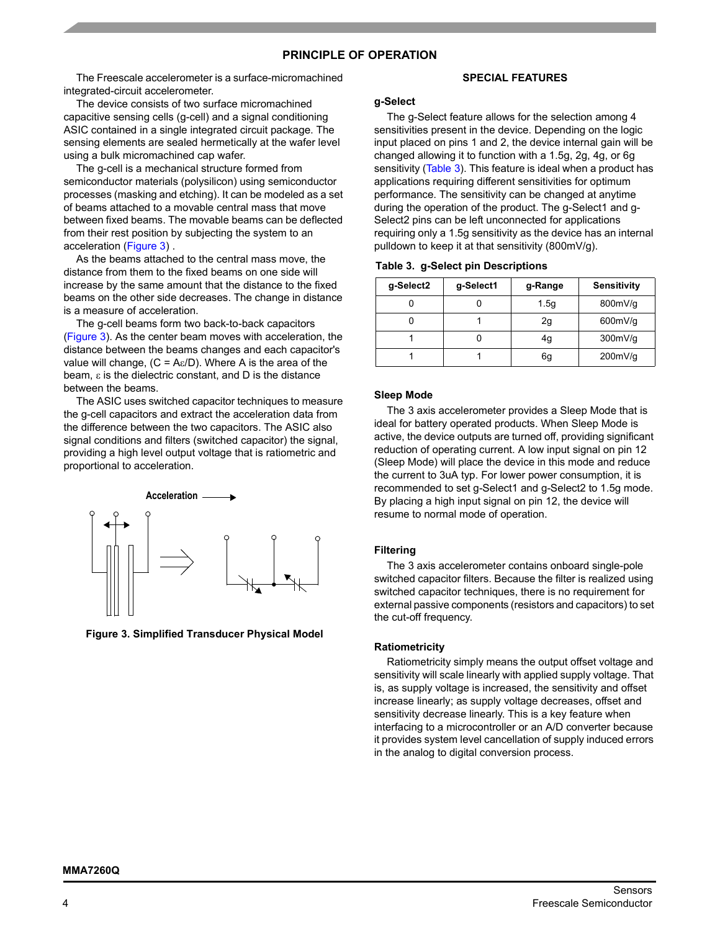## **PRINCIPLE OF OPERATION**

The Freescale accelerometer is a surface-micromachined integrated-circuit accelerometer.

The device consists of two surface micromachined capacitive sensing cells (g-cell) and a signal conditioning ASIC contained in a single integrated circuit package. The sensing elements are sealed hermetically at the wafer level using a bulk micromachined cap wafer.

The g-cell is a mechanical structure formed from semiconductor materials (polysilicon) using semiconductor processes (masking and etching). It can be modeled as a set of beams attached to a movable central mass that move between fixed beams. The movable beams can be deflected from their rest position by subjecting the system to an acceleration ([Figure 3](#page-3-0)) .

As the beams attached to the central mass move, the distance from them to the fixed beams on one side will increase by the same amount that the distance to the fixed beams on the other side decreases. The change in distance is a measure of acceleration.

The g-cell beams form two back-to-back capacitors [\(Figure 3](#page-3-0)). As the center beam moves with acceleration, the distance between the beams changes and each capacitor's value will change,  $(C = A\varepsilon/D)$ . Where A is the area of the beam,  $\varepsilon$  is the dielectric constant, and D is the distance between the beams.

The ASIC uses switched capacitor techniques to measure the g-cell capacitors and extract the acceleration data from the difference between the two capacitors. The ASIC also signal conditions and filters (switched capacitor) the signal, providing a high level output voltage that is ratiometric and proportional to acceleration.



<span id="page-3-0"></span>**Figure 3. Simplified Transducer Physical Model**

#### **SPECIAL FEATURES**

#### **g-Select**

The g-Select feature allows for the selection among 4 sensitivities present in the device. Depending on the logic input placed on pins 1 and 2, the device internal gain will be changed allowing it to function with a 1.5g, 2g, 4g, or 6g sensitivity (Table 3). This feature is ideal when a product has applications requiring different sensitivities for optimum performance. The sensitivity can be changed at anytime during the operation of the product. The g-Select1 and g-Select2 pins can be left unconnected for applications requiring only a 1.5g sensitivity as the device has an internal pulldown to keep it at that sensitivity (800mV/g).

|  | Table 3. g-Select pin Descriptions |
|--|------------------------------------|
|  |                                    |

| g-Select2 | g-Select1 | g-Range | Sensitivity |
|-----------|-----------|---------|-------------|
|           |           | 1.5g    | 800mV/g     |
|           |           | 2g      | 600mV/g     |
|           |           | 4g      | 300mV/g     |
|           |           | 6g      | 200mV/g     |

#### **Sleep Mode**

The 3 axis accelerometer provides a Sleep Mode that is ideal for battery operated products. When Sleep Mode is active, the device outputs are turned off, providing significant reduction of operating current. A low input signal on pin 12 (Sleep Mode) will place the device in this mode and reduce the current to 3uA typ. For lower power consumption, it is recommended to set g-Select1 and g-Select2 to 1.5g mode. By placing a high input signal on pin 12, the device will resume to normal mode of operation.

#### **Filtering**

The 3 axis accelerometer contains onboard single-pole switched capacitor filters. Because the filter is realized using switched capacitor techniques, there is no requirement for external passive components (resistors and capacitors) to set the cut-off frequency.

#### **Ratiometricity**

Ratiometricity simply means the output offset voltage and sensitivity will scale linearly with applied supply voltage. That is, as supply voltage is increased, the sensitivity and offset increase linearly; as supply voltage decreases, offset and sensitivity decrease linearly. This is a key feature when interfacing to a microcontroller or an A/D converter because it provides system level cancellation of supply induced errors in the analog to digital conversion process.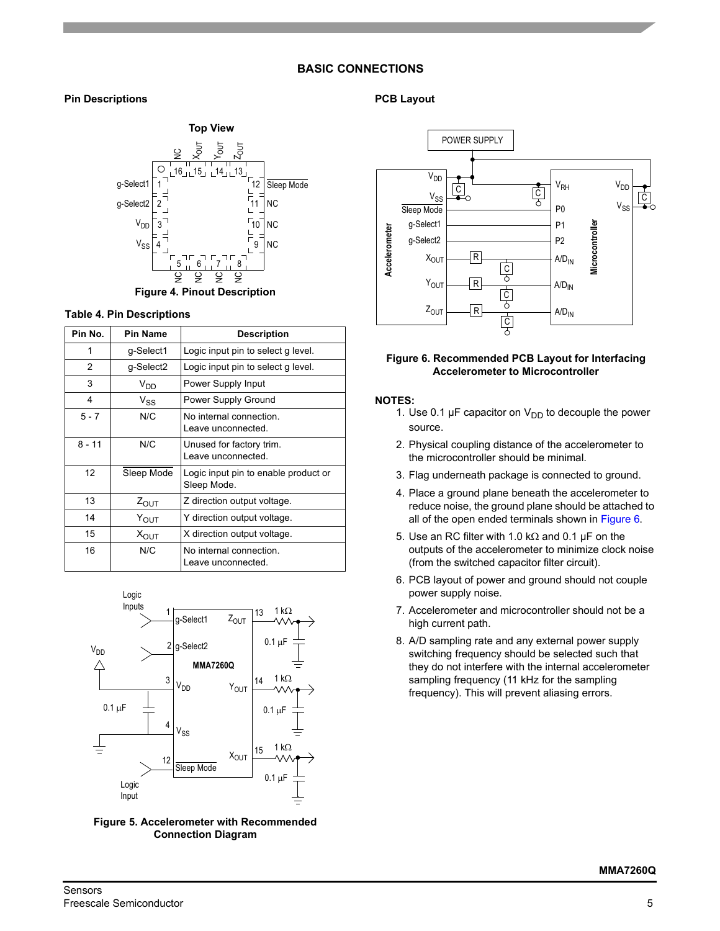# **BASIC CONNECTIONS**

# **Pin Descriptions**



### **Table 4. Pin Descriptions**

| Pin No.  | <b>Pin Name</b>  | <b>Description</b>                                  |
|----------|------------------|-----------------------------------------------------|
| 1        | g-Select1        | Logic input pin to select g level.                  |
| 2        | g-Select2        | Logic input pin to select g level.                  |
| 3        | $V_{DD}$         | Power Supply Input                                  |
| 4        | $V_{SS}$         | Power Supply Ground                                 |
| $5 - 7$  | N/C              | No internal connection.<br>Leave unconnected.       |
| $8 - 11$ | N/C              | Unused for factory trim.<br>Leave unconnected.      |
| 12       | Sleep Mode       | Logic input pin to enable product or<br>Sleep Mode. |
| 13       | $Z_{\text{OUT}}$ | Z direction output voltage.                         |
| 14       | $Y_{OUT}$        | Y direction output voltage.                         |
| 15       | $X_{\text{OUT}}$ | X direction output voltage.                         |
| 16       | N/C              | No internal connection.<br>Leave unconnected.       |





## **PCB Layout**



#### <span id="page-4-0"></span>**Figure 6. Recommended PCB Layout for Interfacing Accelerometer to Microcontroller**

#### **NOTES:**

- 1. Use 0.1  $\mu$ F capacitor on  $V_{DD}$  to decouple the power source.
- 2. Physical coupling distance of the accelerometer to the microcontroller should be minimal.
- 3. Flag underneath package is connected to ground.
- 4. Place a ground plane beneath the accelerometer to reduce noise, the ground plane should be attached to all of the open ended terminals shown in [Figure 6](#page-4-0).
- 5. Use an RC filter with 1.0 k $\Omega$  and 0.1 µF on the outputs of the accelerometer to minimize clock noise (from the switched capacitor filter circuit).
- 6. PCB layout of power and ground should not couple power supply noise.
- 7. Accelerometer and microcontroller should not be a high current path.
- 8. A/D sampling rate and any external power supply switching frequency should be selected such that they do not interfere with the internal accelerometer sampling frequency (11 kHz for the sampling frequency). This will prevent aliasing errors.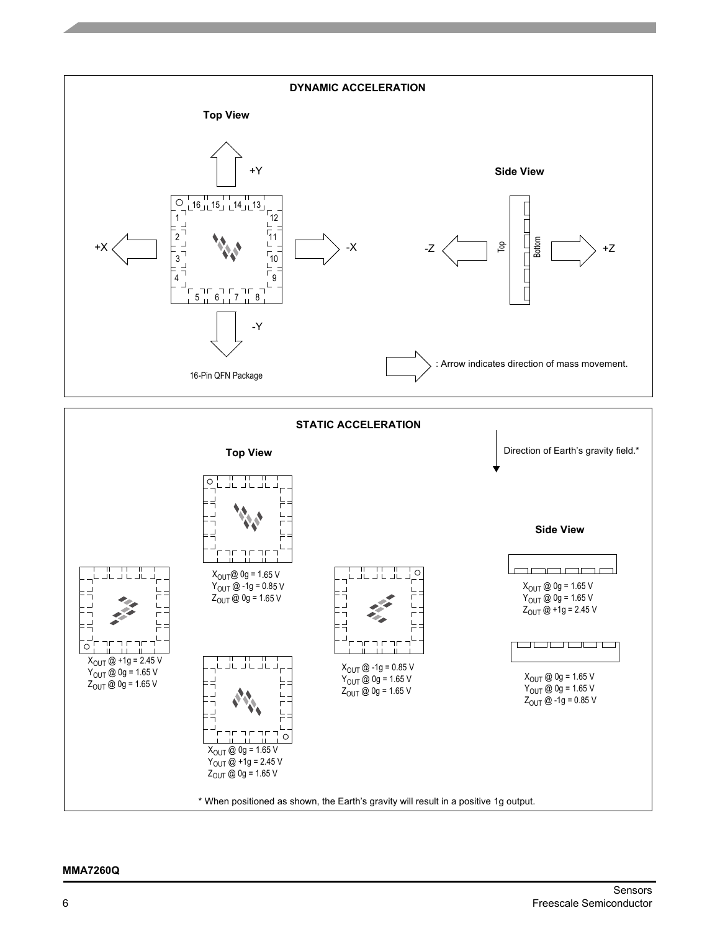

#### **MMA7260Q**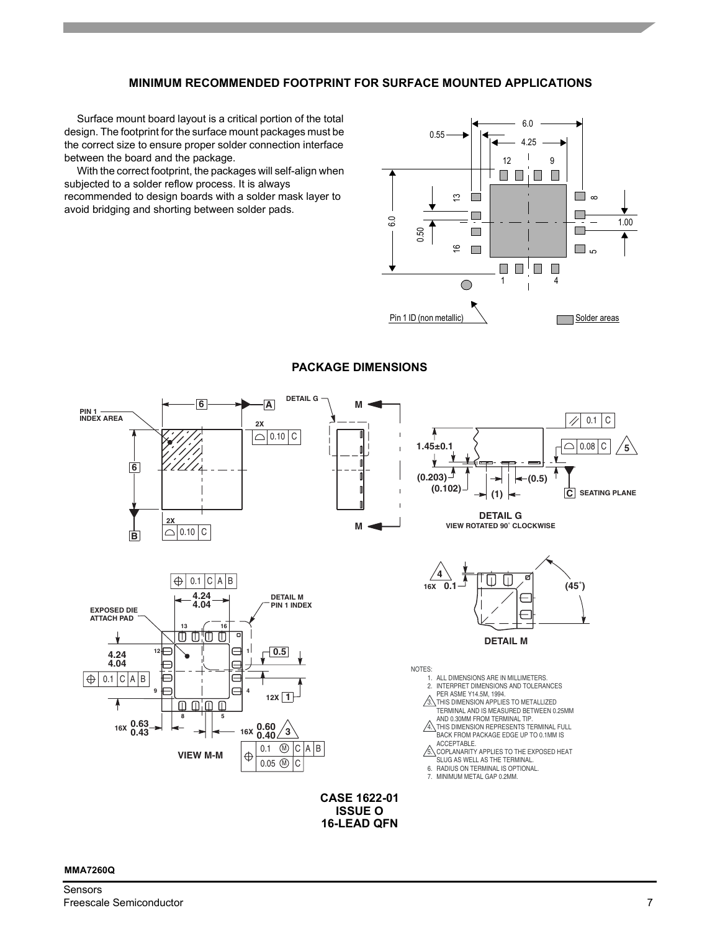# **MINIMUM RECOMMENDED FOOTPRINT FOR SURFACE MOUNTED APPLICATIONS**

Surface mount board layout is a critical portion of the total design. The footprint for the surface mount packages must be the correct size to ensure proper solder connection interface between the board and the package.

With the correct footprint, the packages will self-align when subjected to a solder reflow process. It is always recommended to design boards with a solder mask layer to avoid bridging and shorting between solder pads.





## **PACKAGE DIMENSIONS**

### **MMA7260Q**